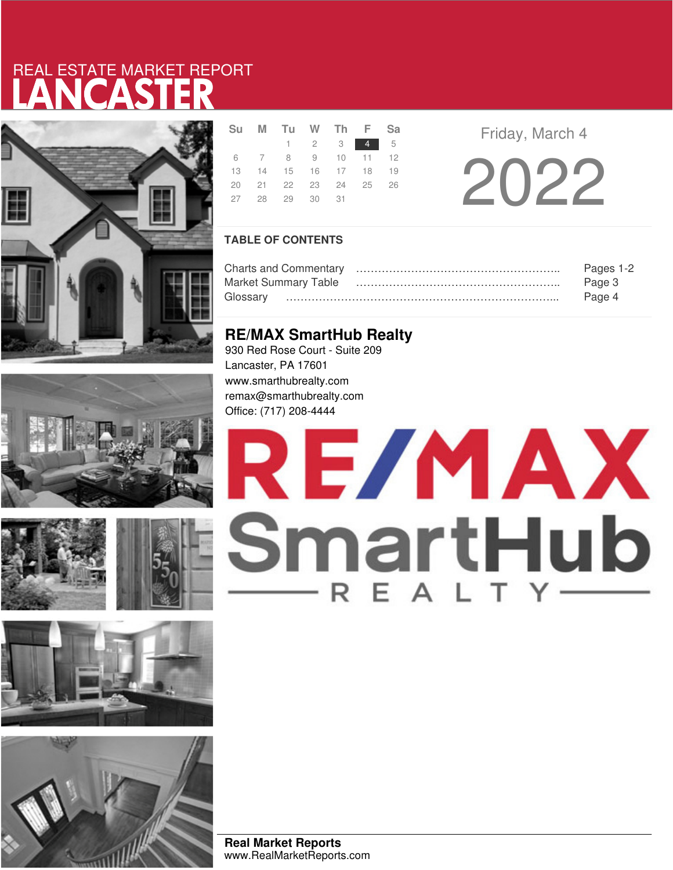# LANCASTER REAL ESTATE MARKET REPORT













|  | Su M Tu W Th F Sa          |                                                                    |  |  |
|--|----------------------------|--------------------------------------------------------------------|--|--|
|  |                            | $\begin{array}{ccccccccccccccccc}\n1 & 2 & 3 & 4 & 5\n\end{array}$ |  |  |
|  | 6 7 8 9 10 11 12           |                                                                    |  |  |
|  | 13  14  15  16  17  18  19 |                                                                    |  |  |
|  | 20  21  22  23  24  25  26 |                                                                    |  |  |
|  | 27  28  29  30  31         |                                                                    |  |  |

**Friday, March 4** 

2022

## **TABLE OF CONTENTS**

|                             | Pages 1-2 |
|-----------------------------|-----------|
| <b>Market Summary Table</b> | Page 3    |
| Glossarv                    | Page 4    |

# **RE/MAX SmartHub Realty**

930 Red Rose Court - Suite 209 Lancaster, PA 17601 www.smarthubrealty.com remax@smarthubrealty.com Office: (717) 208-4444

# RE/MAX SmartHub

**Real Market Reports** www.RealMarketReports.com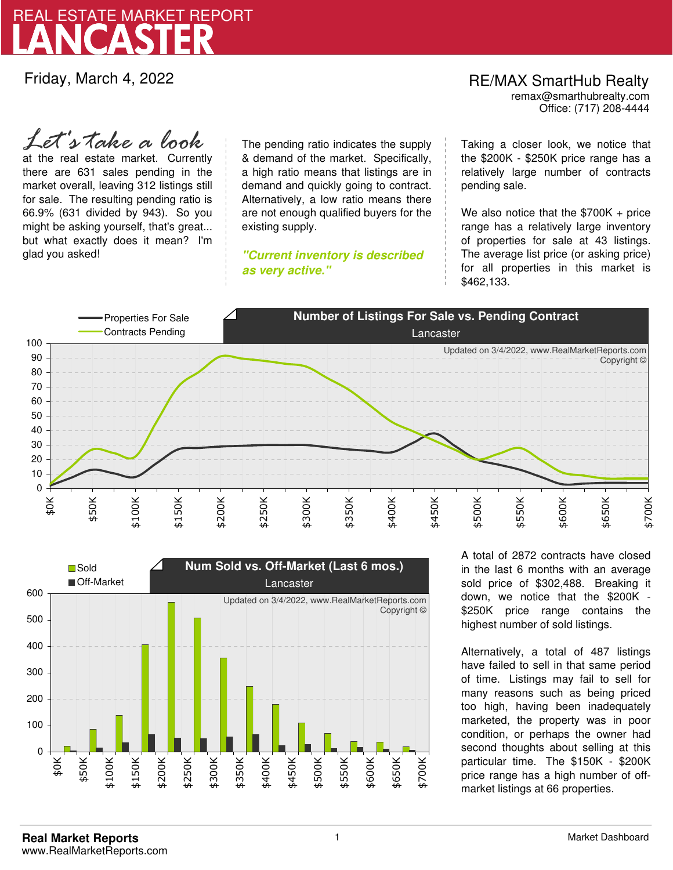

Friday, March 4, 2022

# RE/MAX SmartHub Realty remax@smarthubrealty.com

Office: (717) 208-4444

at the real estate market. Currently there are 631 sales pending in the market overall, leaving 312 listings still for sale. The resulting pending ratio is 66.9% (631 divided by 943). So you might be asking yourself, that's great... but what exactly does it mean? I'm glad you asked! *Let's take a look*

The pending ratio indicates the supply & demand of the market. Specifically, a high ratio means that listings are in demand and quickly going to contract. Alternatively, a low ratio means there are not enough qualified buyers for the existing supply.

**"Current inventory is described as very active."**

Taking a closer look, we notice that the \$200K - \$250K price range has a relatively large number of contracts pending sale.

We also notice that the \$700K + price range has a relatively large inventory of properties for sale at 43 listings. The average list price (or asking price) for all properties in this market is \$462,133.





A total of 2872 contracts have closed in the last 6 months with an average sold price of \$302,488. Breaking it down, we notice that the \$200K - \$250K price range contains the highest number of sold listings.

Alternatively, a total of 487 listings have failed to sell in that same period of time. Listings may fail to sell for many reasons such as being priced too high, having been inadequately marketed, the property was in poor condition, or perhaps the owner had second thoughts about selling at this particular time. The \$150K - \$200K price range has a high number of offmarket listings at 66 properties.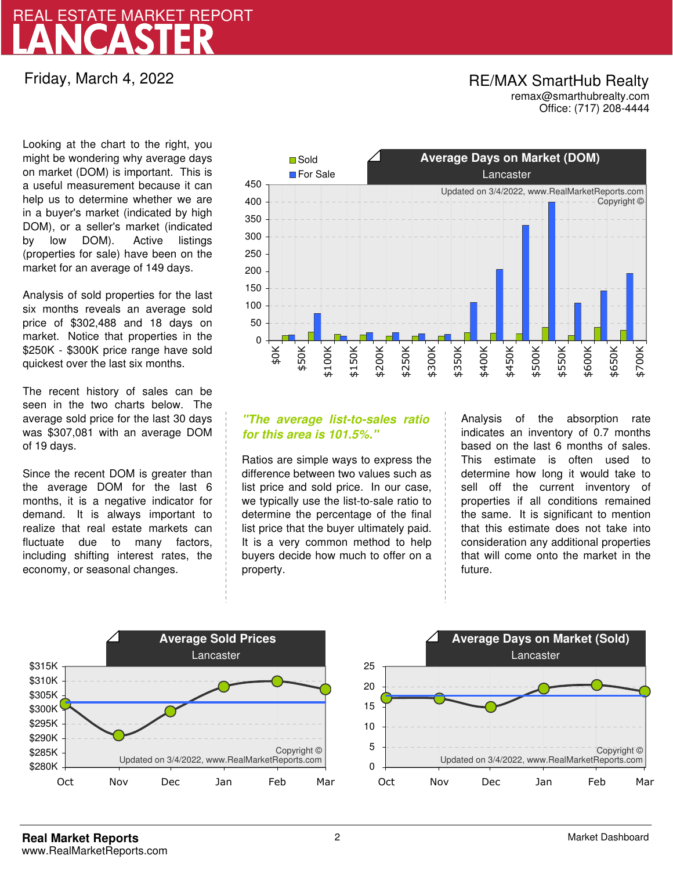# LANCASTER REAL ESTATE MARKET REPORT

Friday, March 4, 2022

## RE/MAX SmartHub Realty remax@smarthubrealty.com

Office: (717) 208-4444

Looking at the chart to the right, you might be wondering why average days on market (DOM) is important. This is a useful measurement because it can help us to determine whether we are in a buyer's market (indicated by high DOM), or a seller's market (indicated by low DOM). Active listings (properties for sale) have been on the market for an average of 149 days.

Analysis of sold properties for the last six months reveals an average sold price of \$302,488 and 18 days on market. Notice that properties in the \$250K - \$300K price range have sold quickest over the last six months.

The recent history of sales can be seen in the two charts below. The average sold price for the last 30 days was \$307,081 with an average DOM of 19 days.

Since the recent DOM is greater than the average DOM for the last 6 months, it is a negative indicator for demand. It is always important to realize that real estate markets can fluctuate due to many factors, including shifting interest rates, the economy, or seasonal changes.



## **"The average list-to-sales ratio for this area is 101.5%."**

Ratios are simple ways to express the difference between two values such as list price and sold price. In our case, we typically use the list-to-sale ratio to determine the percentage of the final list price that the buyer ultimately paid. It is a very common method to help buyers decide how much to offer on a property.

Analysis of the absorption rate indicates an inventory of 0.7 months based on the last 6 months of sales. This estimate is often used to determine how long it would take to sell off the current inventory of properties if all conditions remained the same. It is significant to mention that this estimate does not take into consideration any additional properties that will come onto the market in the future.



Copyright ©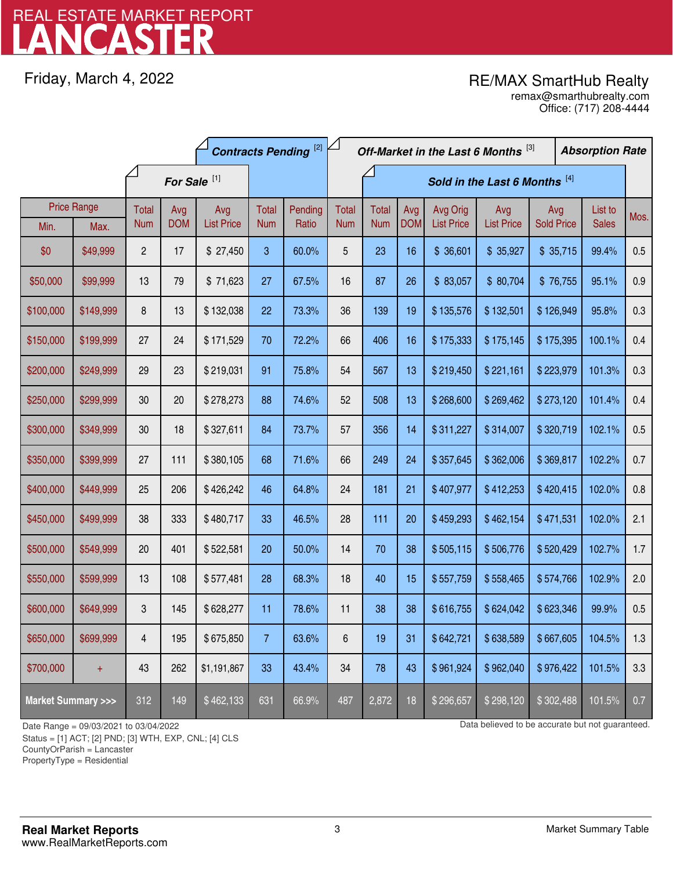# LANCASTER REAL ESTATE MARKET REPORT

Friday, March 4, 2022

# RE/MAX SmartHub Realty

Office: (717) 208-4444 remax@smarthubrealty.com

|                                    |           | <b>Contracts Pending</b> <sup>[2]</sup> |            |                   |                               |         | Off-Market in the Last 6 Months [3] |              |            |                   |                   | <b>Absorption Rate</b> |  |              |      |
|------------------------------------|-----------|-----------------------------------------|------------|-------------------|-------------------------------|---------|-------------------------------------|--------------|------------|-------------------|-------------------|------------------------|--|--------------|------|
| For Sale <sup>[1]</sup>            |           |                                         |            |                   | Sold in the Last 6 Months [4] |         |                                     |              |            |                   |                   |                        |  |              |      |
| <b>Price Range</b>                 |           | Total                                   | Avg        | Avg               | Total                         | Pending | <b>Total</b>                        | <b>Total</b> | Avg        | Avg Orig          | Avg               | Avg                    |  | List to      | Mos. |
| Min.                               | Max.      | <b>Num</b>                              | <b>DOM</b> | <b>List Price</b> | <b>Num</b>                    | Ratio   | <b>Num</b>                          | <b>Num</b>   | <b>DOM</b> | <b>List Price</b> | <b>List Price</b> | <b>Sold Price</b>      |  | <b>Sales</b> |      |
| \$0                                | \$49,999  | $\overline{c}$                          | 17         | \$27,450          | 3                             | 60.0%   | 5                                   | 23           | 16         | \$36,601          | \$35,927          | \$35,715               |  | 99.4%        | 0.5  |
| \$50,000                           | \$99,999  | 13                                      | 79         | \$71,623          | 27                            | 67.5%   | 16                                  | 87           | 26         | \$83,057          | \$80,704          | \$76,755               |  | 95.1%        | 0.9  |
| \$100,000                          | \$149,999 | 8                                       | 13         | \$132,038         | 22                            | 73.3%   | 36                                  | 139          | 19         | \$135,576         | \$132,501         | \$126,949              |  | 95.8%        | 0.3  |
| \$150,000                          | \$199,999 | 27                                      | 24         | \$171,529         | 70                            | 72.2%   | 66                                  | 406          | 16         | \$175,333         | \$175,145         | \$175,395              |  | 100.1%       | 0.4  |
| \$200,000                          | \$249,999 | 29                                      | 23         | \$219,031         | 91                            | 75.8%   | 54                                  | 567          | 13         | \$219,450         | \$221,161         | \$223,979              |  | 101.3%       | 0.3  |
| \$250,000                          | \$299,999 | 30                                      | 20         | \$278,273         | 88                            | 74.6%   | 52                                  | 508          | 13         | \$268,600         | \$269,462         | \$273,120              |  | 101.4%       | 0.4  |
| \$300,000                          | \$349,999 | 30                                      | 18         | \$327,611         | 84                            | 73.7%   | 57                                  | 356          | 14         | \$311,227         | \$314,007         | \$320,719              |  | 102.1%       | 0.5  |
| \$350,000                          | \$399,999 | 27                                      | 111        | \$380,105         | 68                            | 71.6%   | 66                                  | 249          | 24         | \$357,645         | \$362,006         | \$369,817              |  | 102.2%       | 0.7  |
| \$400,000                          | \$449,999 | 25                                      | 206        | \$426,242         | 46                            | 64.8%   | 24                                  | 181          | 21         | \$407,977         | \$412,253         | \$420,415              |  | 102.0%       | 0.8  |
| \$450,000                          | \$499,999 | 38                                      | 333        | \$480,717         | 33                            | 46.5%   | 28                                  | 111          | 20         | \$459,293         | \$462,154         | \$471,531              |  | 102.0%       | 2.1  |
| \$500,000                          | \$549,999 | 20                                      | 401        | \$522,581         | 20                            | 50.0%   | 14                                  | 70           | 38         | \$505,115         | \$506,776         | \$520,429              |  | 102.7%       | 1.7  |
| \$550,000                          | \$599,999 | 13                                      | 108        | \$577,481         | 28                            | 68.3%   | 18                                  | 40           | 15         | \$557,759         | \$558,465         | \$574,766              |  | 102.9%       | 2.0  |
| \$600,000                          | \$649,999 | 3                                       | 145        | \$628,277         | 11                            | 78.6%   | 11                                  | 38           | 38         | \$616,755         | \$624,042         | \$623,346              |  | 99.9%        | 0.5  |
| \$650,000                          | \$699,999 | 4                                       | 195        | \$675,850         | 7                             | 63.6%   | $\boldsymbol{6}$                    | 19           | 31         | \$642,721         | \$638,589         | \$667,605              |  | 104.5%       | 1.3  |
| \$700,000                          | $+$       | 43                                      | 262        | \$1,191,867       | 33                            | 43.4%   | 34                                  | 78           | 43         | \$961,924         | \$962,040         | \$976,422              |  | 101.5%       | 3.3  |
| <b>Market Summary &gt;&gt;&gt;</b> |           | 312                                     | 149        | \$462,133         | 631                           | 66.9%   | 487                                 | 2,872        | 18         | \$296,657         | \$298,120         | \$302,488              |  | 101.5%       | 0.7  |

Status = [1] ACT; [2] PND; [3] WTH, EXP, CNL; [4] CLS

CountyOrParish = Lancaster

PropertyType = Residential

1

Date Range = 09/03/2021 to 03/04/2022 Data believed to be accurate but not guaranteed.